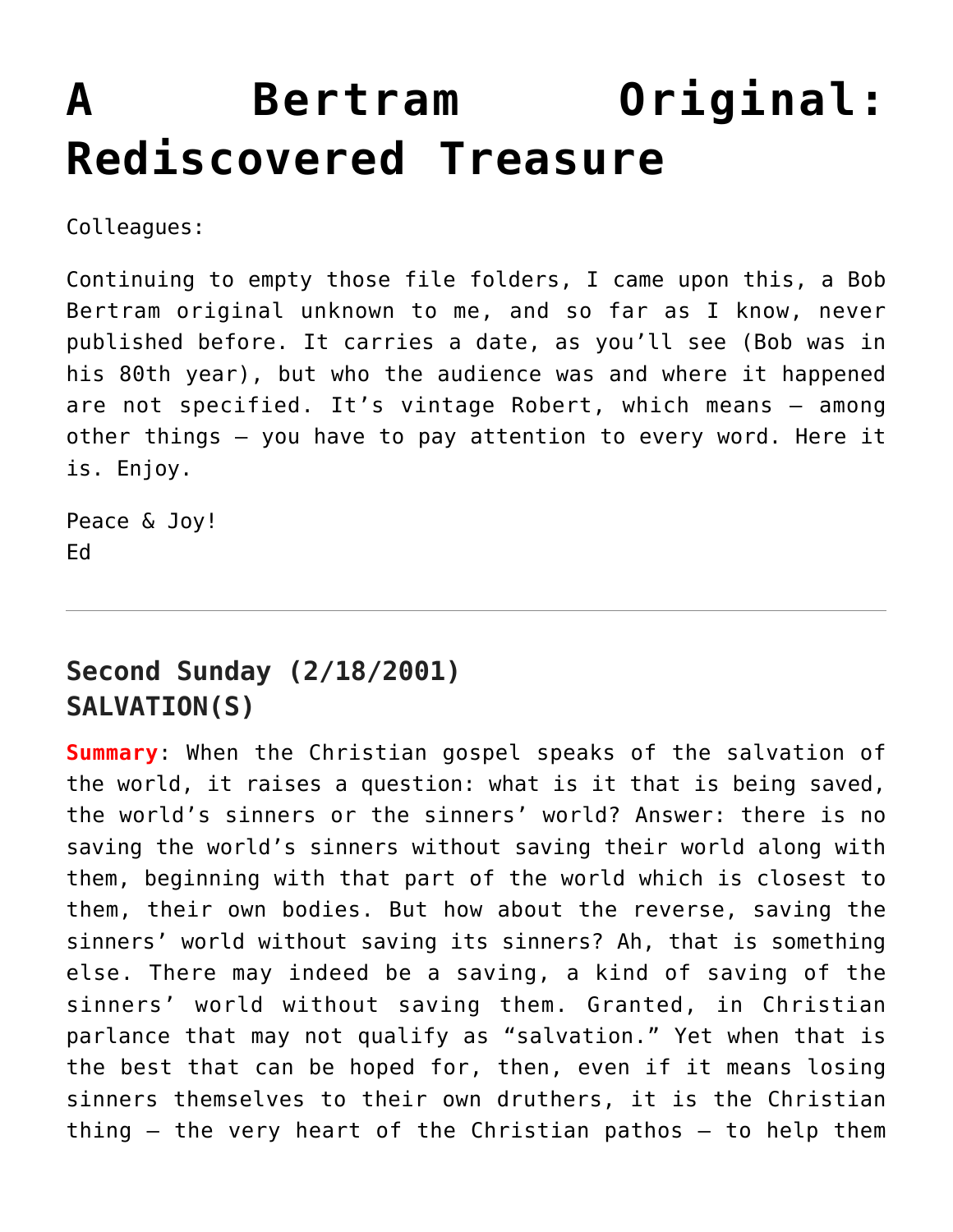## **[A Bertram Original:](https://crossings.org/a-bertram-original-rediscovered-treasure/) [Rediscovered Treasure](https://crossings.org/a-bertram-original-rediscovered-treasure/)**

Colleagues:

Continuing to empty those file folders, I came upon this, a Bob Bertram original unknown to me, and so far as I know, never published before. It carries a date, as you'll see (Bob was in his 80th year), but who the audience was and where it happened are not specified. It's vintage Robert, which means — among other things — you have to pay attention to every word. Here it is. Enjoy.

Peace & Joy! Ed

## **Second Sunday (2/18/2001) SALVATION(S)**

**Summary**: When the Christian gospel speaks of the salvation of the world, it raises a question: what is it that is being saved, the world's sinners or the sinners' world? Answer: there is no saving the world's sinners without saving their world along with them, beginning with that part of the world which is closest to them, their own bodies. But how about the reverse, saving the sinners' world without saving its sinners? Ah, that is something else. There may indeed be a saving, a kind of saving of the sinners' world without saving them. Granted, in Christian parlance that may not qualify as "salvation." Yet when that is the best that can be hoped for, then, even if it means losing sinners themselves to their own druthers, it is the Christian thing — the very heart of the Christian pathos — to help them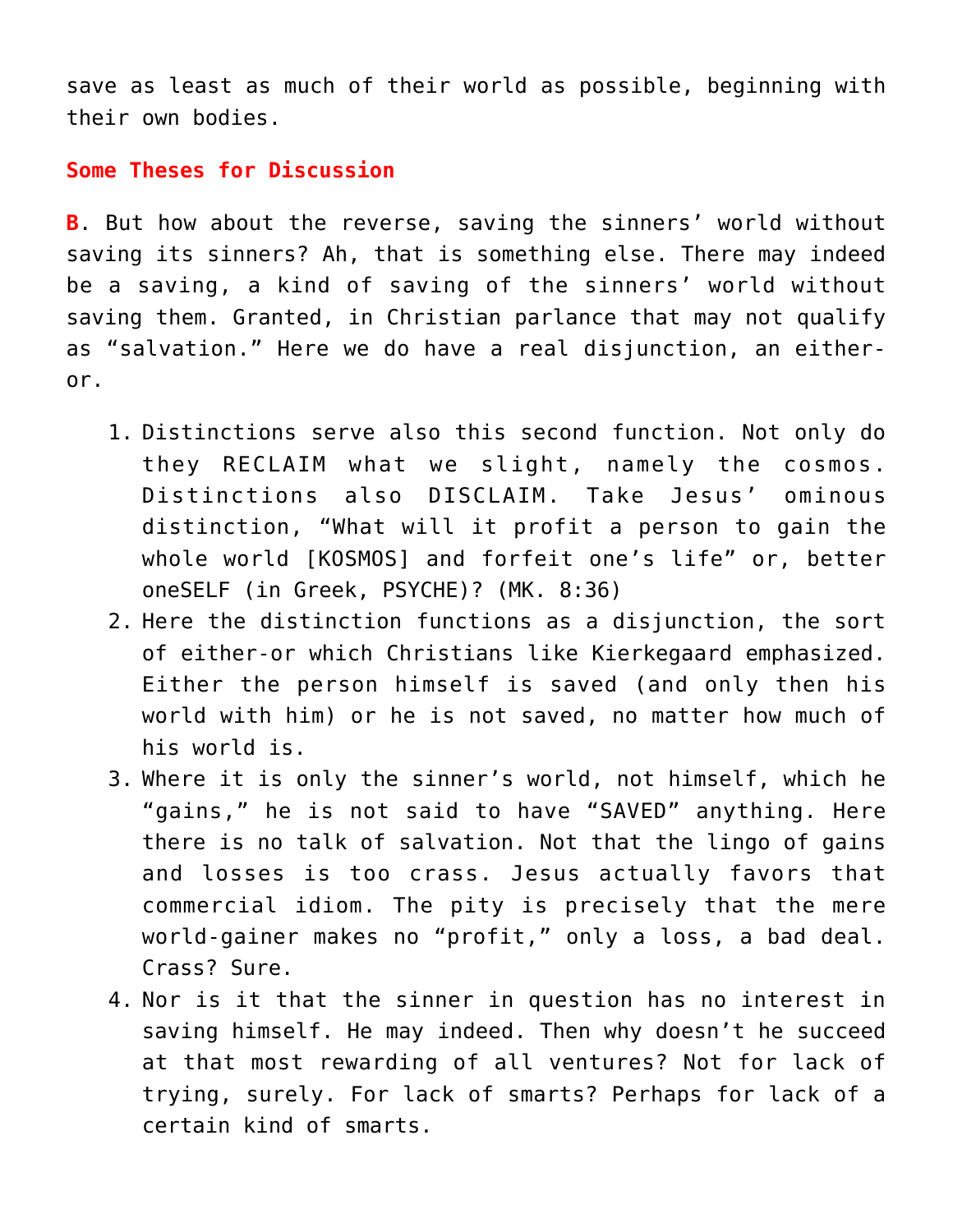save as least as much of their world as possible, beginning with their own bodies.

## **Some Theses for Discussion**

**B**. But how about the reverse, saving the sinners' world without saving its sinners? Ah, that is something else. There may indeed be a saving, a kind of saving of the sinners' world without saving them. Granted, in Christian parlance that may not qualify as "salvation." Here we do have a real disjunction, an eitheror.

- 1. Distinctions serve also this second function. Not only do they RECLAIM what we slight, namely the cosmos. Distinctions also DISCLAIM. Take Jesus' ominous distinction, "What will it profit a person to gain the whole world [KOSMOS] and forfeit one's life" or, better oneSELF (in Greek, PSYCHE)? (MK. 8:36)
- 2. Here the distinction functions as a disjunction, the sort of either-or which Christians like Kierkegaard emphasized. Either the person himself is saved (and only then his world with him) or he is not saved, no matter how much of his world is.
- 3. Where it is only the sinner's world, not himself, which he "gains," he is not said to have "SAVED" anything. Here there is no talk of salvation. Not that the lingo of gains and losses is too crass. Jesus actually favors that commercial idiom. The pity is precisely that the mere world-gainer makes no "profit," only a loss, a bad deal. Crass? Sure.
- 4. Nor is it that the sinner in question has no interest in saving himself. He may indeed. Then why doesn't he succeed at that most rewarding of all ventures? Not for lack of trying, surely. For lack of smarts? Perhaps for lack of a certain kind of smarts.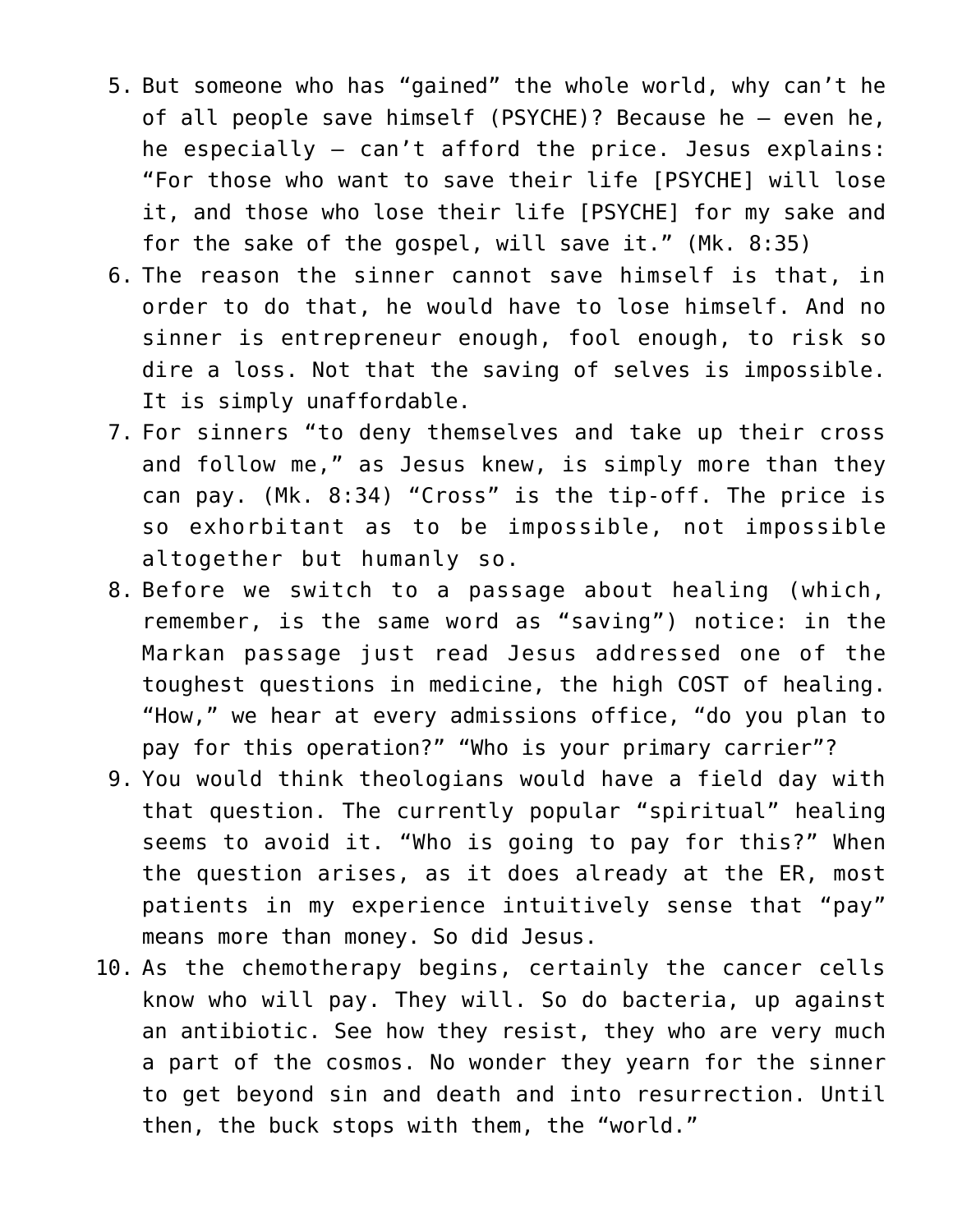- 5. But someone who has "gained" the whole world, why can't he of all people save himself (PSYCHE)? Because he — even he, he especially — can't afford the price. Jesus explains: "For those who want to save their life [PSYCHE] will lose it, and those who lose their life [PSYCHE] for my sake and for the sake of the gospel, will save it." (Mk. 8:35)
- 6. The reason the sinner cannot save himself is that, in order to do that, he would have to lose himself. And no sinner is entrepreneur enough, fool enough, to risk so dire a loss. Not that the saving of selves is impossible. It is simply unaffordable.
- 7. For sinners "to deny themselves and take up their cross and follow me," as Jesus knew, is simply more than they can pay. (Mk. 8:34) "Cross" is the tip-off. The price is so exhorbitant as to be impossible, not impossible altogether but humanly so.
- 8. Before we switch to a passage about healing (which, remember, is the same word as "saving") notice: in the Markan passage just read Jesus addressed one of the toughest questions in medicine, the high COST of healing. "How," we hear at every admissions office, "do you plan to pay for this operation?" "Who is your primary carrier"?
- 9. You would think theologians would have a field day with that question. The currently popular "spiritual" healing seems to avoid it. "Who is going to pay for this?" When the question arises, as it does already at the ER, most patients in my experience intuitively sense that "pay" means more than money. So did Jesus.
- 10. As the chemotherapy begins, certainly the cancer cells know who will pay. They will. So do bacteria, up against an antibiotic. See how they resist, they who are very much a part of the cosmos. No wonder they yearn for the sinner to get beyond sin and death and into resurrection. Until then, the buck stops with them, the "world."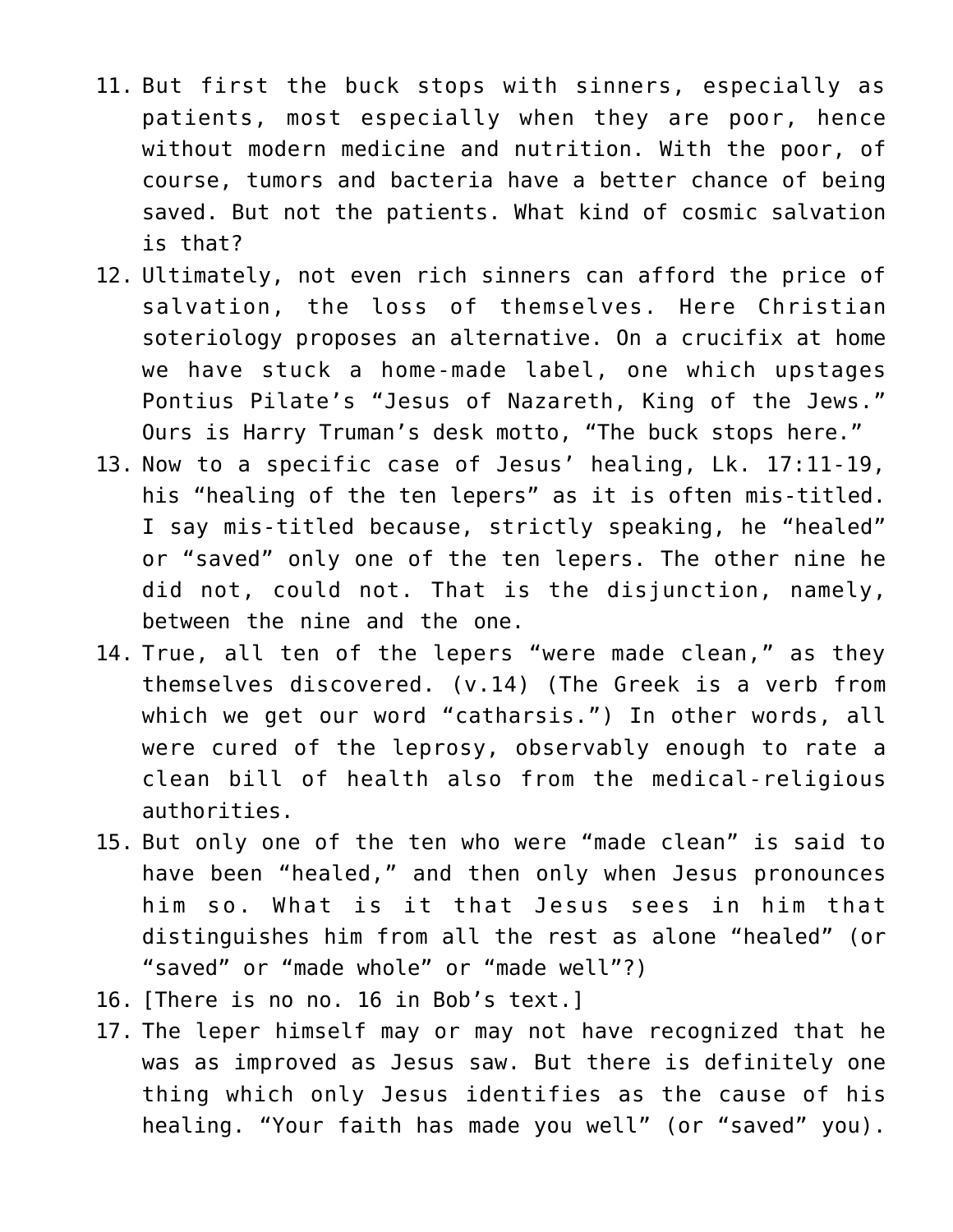- 11. But first the buck stops with sinners, especially as patients, most especially when they are poor, hence without modern medicine and nutrition. With the poor, of course, tumors and bacteria have a better chance of being saved. But not the patients. What kind of cosmic salvation is that?
- 12. Ultimately, not even rich sinners can afford the price of salvation, the loss of themselves. Here Christian soteriology proposes an alternative. On a crucifix at home we have stuck a home-made label, one which upstages Pontius Pilate's "Jesus of Nazareth, King of the Jews." Ours is Harry Truman's desk motto, "The buck stops here."
- 13. Now to a specific case of Jesus' healing, Lk. 17:11-19, his "healing of the ten lepers" as it is often mis-titled. I say mis-titled because, strictly speaking, he "healed" or "saved" only one of the ten lepers. The other nine he did not, could not. That is the disjunction, namely, between the nine and the one.
- 14. True, all ten of the lepers "were made clean," as they themselves discovered. (v.14) (The Greek is a verb from which we get our word "catharsis.") In other words, all were cured of the leprosy, observably enough to rate a clean bill of health also from the medical-religious authorities.
- 15. But only one of the ten who were "made clean" is said to have been "healed," and then only when Jesus pronounces him so. What is it that Jesus sees in him that distinguishes him from all the rest as alone "healed" (or "saved" or "made whole" or "made well"?)
- 16. [There is no no. 16 in Bob's text.]
- 17. The leper himself may or may not have recognized that he was as improved as Jesus saw. But there is definitely one thing which only Jesus identifies as the cause of his healing. "Your faith has made you well" (or "saved" you).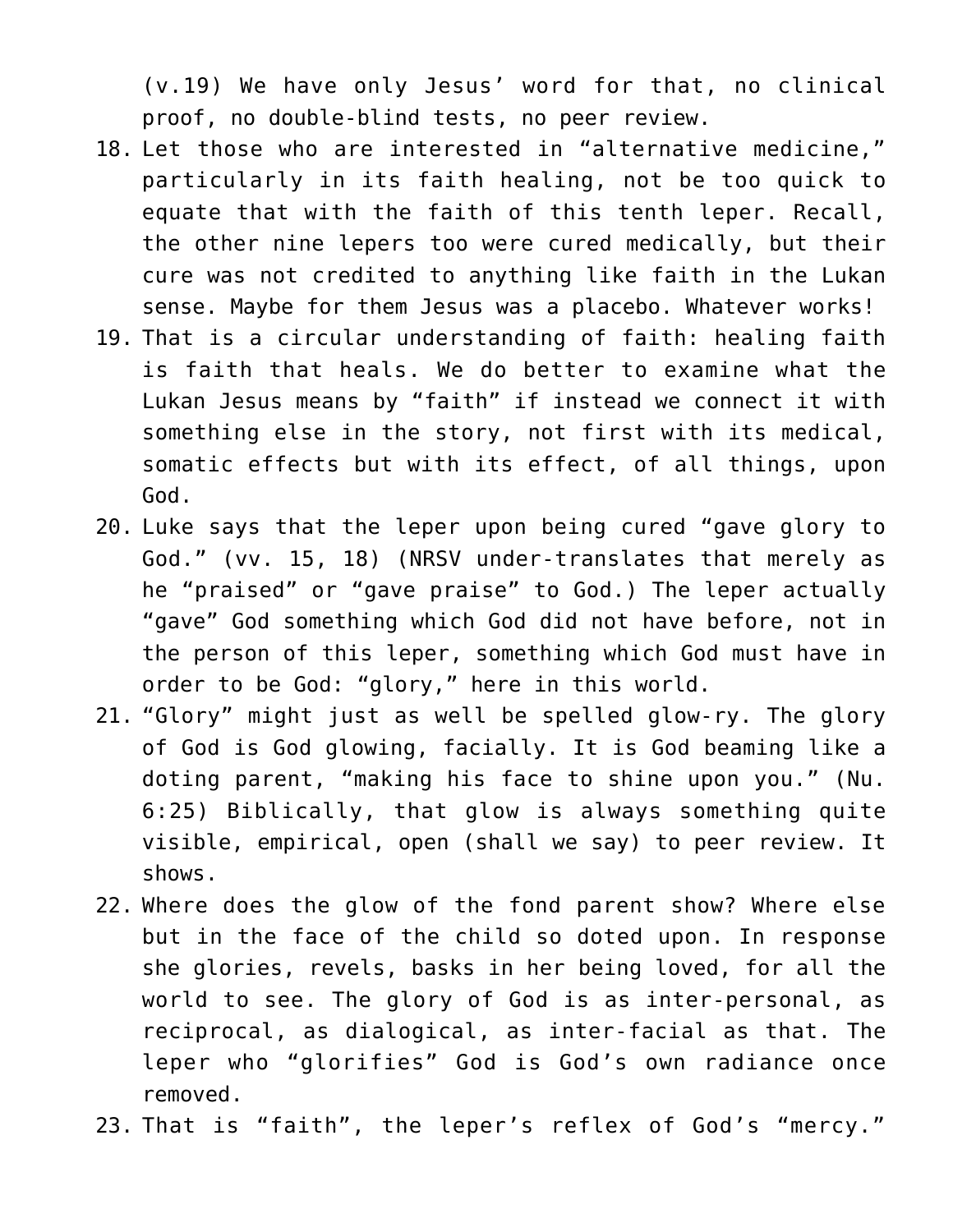(v.19) We have only Jesus' word for that, no clinical proof, no double-blind tests, no peer review.

- 18. Let those who are interested in "alternative medicine," particularly in its faith healing, not be too quick to equate that with the faith of this tenth leper. Recall, the other nine lepers too were cured medically, but their cure was not credited to anything like faith in the Lukan sense. Maybe for them Jesus was a placebo. Whatever works!
- 19. That is a circular understanding of faith: healing faith is faith that heals. We do better to examine what the Lukan Jesus means by "faith" if instead we connect it with something else in the story, not first with its medical, somatic effects but with its effect, of all things, upon God.
- 20. Luke says that the leper upon being cured "gave glory to God." (vv. 15, 18) (NRSV under-translates that merely as he "praised" or "gave praise" to God.) The leper actually "gave" God something which God did not have before, not in the person of this leper, something which God must have in order to be God: "glory," here in this world.
- 21. "Glory" might just as well be spelled glow-ry. The glory of God is God glowing, facially. It is God beaming like a doting parent, "making his face to shine upon you." (Nu. 6:25) Biblically, that glow is always something quite visible, empirical, open (shall we say) to peer review. It shows.
- 22. Where does the glow of the fond parent show? Where else but in the face of the child so doted upon. In response she glories, revels, basks in her being loved, for all the world to see. The glory of God is as inter-personal, as reciprocal, as dialogical, as inter-facial as that. The leper who "glorifies" God is God's own radiance once removed.
- 23. That is "faith", the leper's reflex of God's "mercy."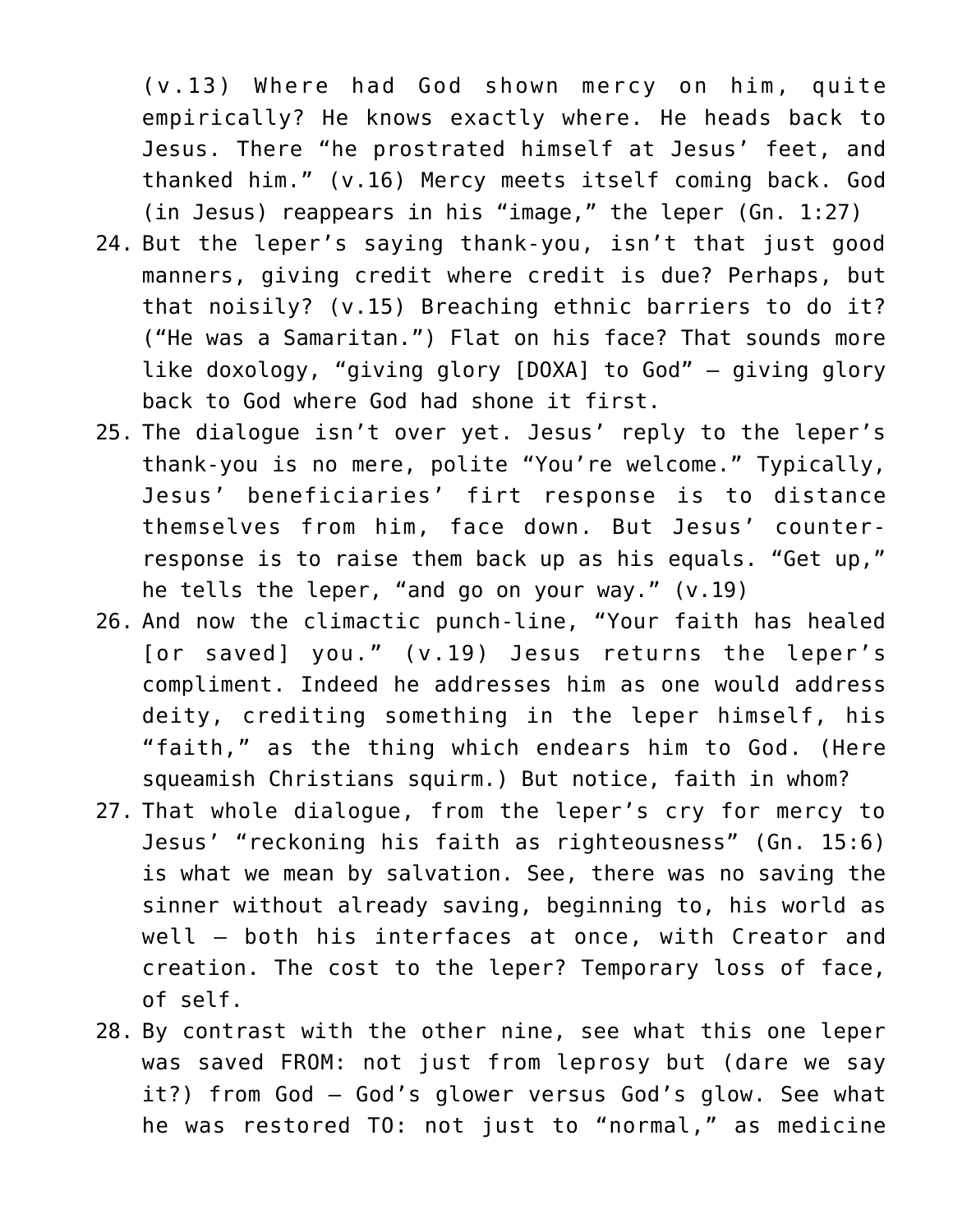(v.13) Where had God shown mercy on him, quite empirically? He knows exactly where. He heads back to Jesus. There "he prostrated himself at Jesus' feet, and thanked him." (v.16) Mercy meets itself coming back. God (in Jesus) reappears in his "image," the leper (Gn. 1:27)

- 24. But the leper's saying thank-you, isn't that just good manners, giving credit where credit is due? Perhaps, but that noisily? (v.15) Breaching ethnic barriers to do it? ("He was a Samaritan.") Flat on his face? That sounds more like doxology, "giving glory [DOXA] to God" — giving glory back to God where God had shone it first.
- 25. The dialogue isn't over yet. Jesus' reply to the leper's thank-you is no mere, polite "You're welcome." Typically, Jesus' beneficiaries' firt response is to distance themselves from him, face down. But Jesus' counterresponse is to raise them back up as his equals. "Get up," he tells the leper, "and go on your way." (v.19)
- 26. And now the climactic punch-line, "Your faith has healed [or saved] you." (v.19) Jesus returns the leper's compliment. Indeed he addresses him as one would address deity, crediting something in the leper himself, his "faith," as the thing which endears him to God. (Here squeamish Christians squirm.) But notice, faith in whom?
- 27. That whole dialogue, from the leper's cry for mercy to Jesus' "reckoning his faith as righteousness" (Gn. 15:6) is what we mean by salvation. See, there was no saving the sinner without already saving, beginning to, his world as well — both his interfaces at once, with Creator and creation. The cost to the leper? Temporary loss of face, of self.
- 28. By contrast with the other nine, see what this one leper was saved FROM: not just from leprosy but (dare we say it?) from God — God's glower versus God's glow. See what he was restored TO: not just to "normal," as medicine